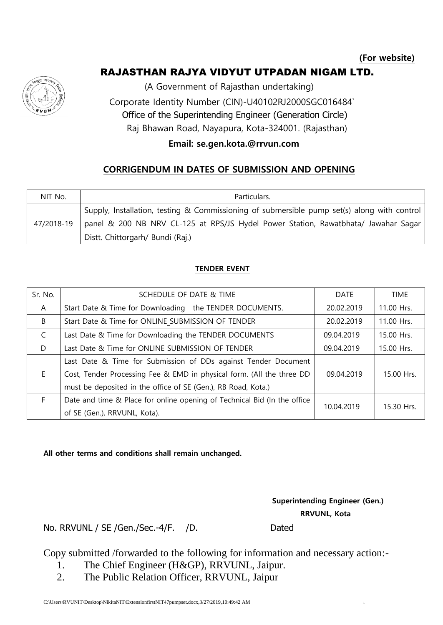## RAJASTHAN RAJYA VIDYUT UTPADAN NIGAM LTD.



(A Government of Rajasthan undertaking)

 Corporate Identity Number (CIN)-U40102RJ2000SGC016484` Office of the Superintending Engineer (Generation Circle)

Raj Bhawan Road, Nayapura, Kota-324001. (Rajasthan)

## **Email: se.gen.kota.@rrvun.com**

## **CORRIGENDUM IN DATES OF SUBMISSION AND OPENING**

| NIT No.    | Particulars.                                                                                |  |  |  |
|------------|---------------------------------------------------------------------------------------------|--|--|--|
|            | Supply, Installation, testing & Commissioning of submersible pump set(s) along with control |  |  |  |
| 47/2018-19 | panel & 200 NB NRV CL-125 at RPS/JS Hydel Power Station, Rawatbhata/ Jawahar Sagar          |  |  |  |
|            | Distt. Chittorgarh/ Bundi (Raj.)                                                            |  |  |  |

## **TENDER EVENT**

| Sr. No.      | SCHEDULE OF DATE & TIME                                                  | <b>DATE</b> | <b>TIME</b> |
|--------------|--------------------------------------------------------------------------|-------------|-------------|
| $\mathsf{A}$ | Start Date & Time for Downloading the TENDER DOCUMENTS.                  | 20.02.2019  | 11.00 Hrs.  |
| B            | Start Date & Time for ONLINE SUBMISSION OF TENDER                        | 20.02.2019  | 11.00 Hrs.  |
| C            | Last Date & Time for Downloading the TENDER DOCUMENTS                    | 09.04.2019  | 15.00 Hrs.  |
| D            | Last Date & Time for ONLINE SUBMISSION OF TENDER                         | 09.04.2019  | 15.00 Hrs.  |
|              | Last Date & Time for Submission of DDs against Tender Document           |             |             |
| E.           | Cost, Tender Processing Fee & EMD in physical form. (All the three DD    | 09.04.2019  | 15.00 Hrs.  |
|              | must be deposited in the office of SE (Gen.), RB Road, Kota.)            |             |             |
| F.           | Date and time & Place for online opening of Technical Bid (In the office | 10.04.2019  | 15.30 Hrs.  |
|              | of SE (Gen.), RRVUNL, Kota).                                             |             |             |

**All other terms and conditions shall remain unchanged.**

 **Superintending Engineer (Gen.) RRVUNL, Kota**

No. RRVUNL / SE / Gen./Sec.-4/F. / D. Dated

Copy submitted /forwarded to the following for information and necessary action:-

- 1. The Chief Engineer (H&GP), RRVUNL, Jaipur.
- 2. The Public Relation Officer, RRVUNL, Jaipur